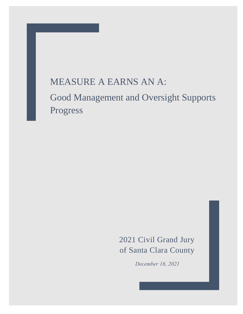# MEASURE A EARNS AN A: Good Management and Oversight Supports

Progress

2021 Civil Grand Jury of Santa Clara County

*December 16, 2021*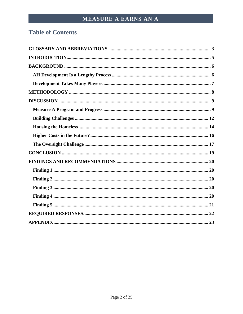# **Table of Contents**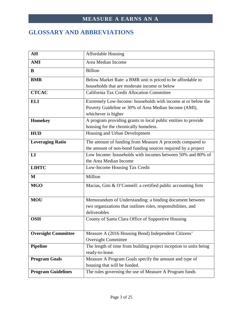# <span id="page-2-0"></span>**GLOSSARY AND ABBREVIATIONS**

| AH                         | <b>Affordable Housing</b>                                                                                                                    |  |  |
|----------------------------|----------------------------------------------------------------------------------------------------------------------------------------------|--|--|
| <b>AMI</b>                 | Area Median Income                                                                                                                           |  |  |
| B                          | <b>Billion</b>                                                                                                                               |  |  |
| <b>BMR</b>                 | Below Market Rate: a BMR unit is priced to be affordable to<br>households that are moderate income or below                                  |  |  |
| <b>CTCAC</b>               | California Tax Credit Allocation Committee                                                                                                   |  |  |
| <b>ELI</b>                 | Extremely Low-Income: households with income at or below the<br>Poverty Guideline or 30% of Area Median Income (AMI),<br>whichever is higher |  |  |
| Homekey                    | A program providing grants to local public entities to provide<br>housing for the chronically homeless.                                      |  |  |
| <b>HUD</b>                 | Housing and Urban Development                                                                                                                |  |  |
| <b>Leveraging Ratio</b>    | The amount of funding from Measure A proceeds compared to<br>the amount of non-bond funding sources required by a project                    |  |  |
| LI                         | Low Income: households with incomes between 50% and 80% of<br>the Area Median Income                                                         |  |  |
| <b>LIHTC</b>               | Low-Income Housing Tax Credit                                                                                                                |  |  |
| M                          | Million                                                                                                                                      |  |  |
| <b>MGO</b>                 | Macias, Gini & O'Connell: a certified public accounting firm                                                                                 |  |  |
| <b>MOU</b>                 | Memorandum of Understanding: a binding document between                                                                                      |  |  |
|                            | two organizations that outlines roles, responsibilities, and<br>deliverables                                                                 |  |  |
| <b>OSH</b>                 | County of Santa Clara Office of Supportive Housing                                                                                           |  |  |
| <b>Oversight Committee</b> | Measure A (2016 Housing Bond) Independent Citizens'<br><b>Oversight Committee</b>                                                            |  |  |
| <b>Pipeline</b>            | The length of time from building project inception to units being<br>ready-to-lease.                                                         |  |  |
| <b>Program Goals</b>       | Measure A Program Goals specify the amount and type of<br>housing that will be funded.                                                       |  |  |
| <b>Program Guidelines</b>  | The rules governing the use of Measure A Program funds                                                                                       |  |  |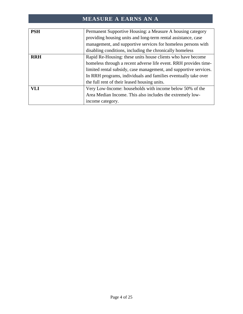| <b>PSH</b> | Permanent Supportive Housing: a Measure A housing category        |  |  |  |  |
|------------|-------------------------------------------------------------------|--|--|--|--|
|            | providing housing units and long-term rental assistance, case     |  |  |  |  |
|            | management, and supportive services for homeless persons with     |  |  |  |  |
|            | disabling conditions, including the chronically homeless          |  |  |  |  |
| <b>RRH</b> | Rapid Re-Housing: these units house clients who have become       |  |  |  |  |
|            | homeless through a recent adverse life event. RRH provides time-  |  |  |  |  |
|            | limited rental subsidy, case management, and supportive services. |  |  |  |  |
|            | In RRH programs, individuals and families eventually take over    |  |  |  |  |
|            | the full rent of their leased housing units.                      |  |  |  |  |
| <b>VLI</b> | Very Low-Income: households with income below 50% of the          |  |  |  |  |
|            | Area Median Income. This also includes the extremely low-         |  |  |  |  |
|            | income category.                                                  |  |  |  |  |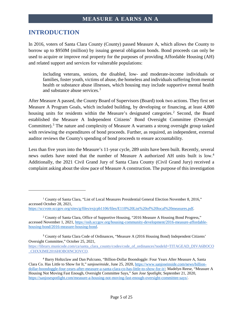# <span id="page-4-0"></span>**INTRODUCTION**

 $\overline{a}$ 

In 2016, voters of Santa Clara County (County) passed Measure A, which allows the County to borrow up to \$950M (million) by issuing general obligation bonds. Bond proceeds can only be used to acquire or improve real property for the purposes of providing Affordable Housing (AH) and related support and services for vulnerable populations:

including veterans, seniors, the disabled, low- and moderate-income individuals or families, foster youth, victims of abuse, the homeless and individuals suffering from mental health or substance abuse illnesses, which housing may include supportive mental health and substance abuse services. [1](#page-4-1)

After Measure A passed, the County Board of Supervisors (Board) took two actions. They first set Measure A Program Goals, which included building, by developing or financing, at least 4,800 housing units for residents within the Measure's designated categories.<sup>[2](#page-4-2)</sup> Second, the Board established the Measure A Independent Citizens' Bond Oversight Committee (Oversight Committee).<sup>[3](#page-4-3)</sup> The nature and complexity of Measure A warrants a strong oversight group tasked with reviewing the expenditures of bond proceeds. Further, as required, an independent, external auditor reviews the County's spending of bond proceeds to ensure accountability.

Less than five years into the Measure's 11-year cycle, 289 units have been built. Recently, several news outlets have noted that the number of Measure A authorized AH units built is low. [4](#page-4-4) Additionally, the 2021 Civil Grand Jury of Santa Clara County (Civil Grand Jury) received a complaint asking about the slow pace of Measure A construction. The purpose of this investigation

<span id="page-4-1"></span><sup>&</sup>lt;sup>1</sup> County of Santa Clara, "List of Local Measures Presidential General Election November 8, 2016," accessed October 28, 2021,

[https://sccvote.sccgov.org/sites/g/files/exjcpb1106/files/E110%20List%20of%20local%20measures.pdf.](https://sccvote.sccgov.org/sites/g/files/exjcpb1106/files/E110%20List%20of%20local%20measures.pdf)

<span id="page-4-2"></span><sup>&</sup>lt;sup>2</sup> County of Santa Clara, Office of Supportive Housing, "2016 Measure A Housing Bond Progress," accessed November 1, 2021, [https://osh.sccgov.org/housing-community-development/2016-measure-affordable](https://osh.sccgov.org/housing-community-development/2016-measure-affordable-housing-bond/2016-measure-housing-bond)[housing-bond/2016-measure-housing-bond.](https://osh.sccgov.org/housing-community-development/2016-measure-affordable-housing-bond/2016-measure-housing-bond)

<span id="page-4-3"></span><sup>3</sup> County of Santa Clara Code of Ordinances, "Measure A (2016 Housing Bond) Independent Citizens' Oversight Committee," October 25, 2021, [https://library.municode.com/ca/santa\\_clara\\_county/codes/code\\_of\\_ordinances?nodeId=TITAGEAD\\_DIVA6BOCO](https://library.municode.com/ca/santa_clara_county/codes/code_of_ordinances?nodeId=TITAGEAD_DIVA6BOCO_CHXXIME2016HOBOINCIOVCO) [\\_CHXXIME2016HOBOINCIOVCO.](https://library.municode.com/ca/santa_clara_county/codes/code_of_ordinances?nodeId=TITAGEAD_DIVA6BOCO_CHXXIME2016HOBOINCIOVCO)

<span id="page-4-4"></span><sup>4</sup> Barry Holtzclaw and Dan Pulcrano, "Billion-Dollar Boondoggle: Four Years After Measure A, Santa Clara Co. Has Little to Show for It," *sanjoseinside,* June 25, 2020, [https://www.sanjoseinside.com/news/billion](https://www.sanjoseinside.com/news/billion-dollar-boondoggle-four-years-after-measure-a-santa-clara-co-has-little-to-show-for-it/)[dollar-boondoggle-four-years-after-measure-a-santa-clara-co-has-little-to-show-for-it/;](https://www.sanjoseinside.com/news/billion-dollar-boondoggle-four-years-after-measure-a-santa-clara-co-has-little-to-show-for-it/) Madelyn Reese, "Measure A Housing Not Moving Fast Enough, Oversight Committee Says," *San Jose Spotlight*, September 21, 2020, [https://sanjosespotlight.com/measure-a-housing-not-moving-fast-enough-oversight-committee-says/.](https://sanjosespotlight.com/measure-a-housing-not-moving-fast-enough-oversight-committee-says/)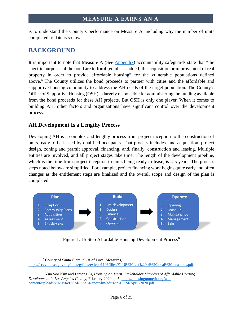is to understand the County's performance on Measure A, including why the number of units completed to date is so low.

# <span id="page-5-0"></span>**BACKGROUND**

 $\overline{a}$ 

It is important to note that Measure A (See [Appendix\)](#page-22-0) accountability safeguards state that "the specific purposes of the bond are to **fund** [emphasis added] the acquisition or improvement of real property in order to provide affordable housing" for the vulnerable populations defined above.<sup>[5](#page-5-2)</sup> The County utilizes the bond proceeds to partner with cities and the affordable and supportive housing community to address the AH needs of the target population. The County's Office of Supportive Housing (OSH) is largely responsible for administering the funding available from the bond proceeds for these AH projects. But OSH is only one player. When it comes to building AH, other factors and organizations have significant control over the development process.

#### <span id="page-5-1"></span>**AH Development Is a Lengthy Process**

Developing AH is a complex and lengthy process from project inception to the construction of units ready to be leased by qualified occupants. That process includes land acquisition, project design, zoning and permit approval, financing, and, finally, construction and leasing. Multiple entities are involved, and all project stages take time. The length of the development pipeline, which is the time from project inception to units being ready-to-lease, is 4-5 years. The process steps noted below are simplified. For example, project financing work begins quite early and often changes as the entitlement steps are finalized and the overall scope and design of the plan is completed.



Figure 1: 15 Step Affordable Housing Development Process<sup>[6](#page-5-3)</sup>

<span id="page-5-2"></span><sup>5</sup> County of Santa Clara, "List of Local Measures," [https://sccvote.sccgov.org/sites/g/files/exjcpb1106/files/E110%20List%20of%20local%20measures.pdf.](https://sccvote.sccgov.org/sites/g/files/exjcpb1106/files/E110%20List%20of%20local%20measures.pdf)

<span id="page-5-3"></span><sup>6</sup> Yun Soo Kim and Lintong Li, *Housing on Merit: Stakeholder Mapping of Affordable Housing Development in Los Angeles County*, February 2020, p. 5, [https://housingonmerit.org/wp](https://housingonmerit.org/wp-content/uploads/2020/04/HOM-Final-Report-lm-edits-to-HOM-April-2020.pdf)[content/uploads/2020/04/HOM-Final-Report-lm-edits-to-HOM-April-2020.pdf.](https://housingonmerit.org/wp-content/uploads/2020/04/HOM-Final-Report-lm-edits-to-HOM-April-2020.pdf)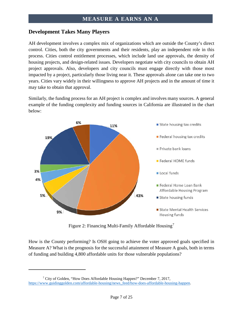#### <span id="page-6-0"></span>**Development Takes Many Players**

AH development involves a complex mix of organizations which are outside the County's direct control. Cities, both the city governments and their residents, play an independent role in this process. Cities control entitlement processes, which include land use approvals, the density of housing projects, and design-related issues. Developers negotiate with city councils to obtain AH project approvals. Also, developers and city councils must engage directly with those most impacted by a project, particularly those living near it. These approvals alone can take one to two years. Cities vary widely in their willingness to approve AH projects and in the amount of time it may take to obtain that approval.

Similarly, the funding process for an AH project is complex and involves many sources. A general example of the funding complexity and funding sources in California are illustrated in the chart below:



Figure 2: Financing Multi-Family Affordable Housing<sup>[7](#page-6-1)</sup>

How is the County performing? Is OSH going to achieve the voter approved goals specified in Measure A? What is the prognosis for the successful attainment of Measure A goals, both in terms of funding and building 4,800 affordable units for those vulnerable populations?

 $\overline{\phantom{a}}$ 

<span id="page-6-1"></span><sup>&</sup>lt;sup>7</sup> City of Golden, "How Does Affordable Housing Happen?" December 7, 2017, [https://www.guidinggolden.com/affordable-housing/news\\_feed/how-does-affordable-housing-happen.](https://www.guidinggolden.com/affordable-housing/news_feed/how-does-affordable-housing-happen)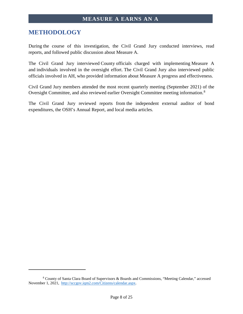# <span id="page-7-0"></span>**METHODOLOGY**

 $\overline{\phantom{a}}$ 

During the course of this investigation, the Civil Grand Jury conducted interviews, read reports, and followed public discussion about Measure A.

The Civil Grand Jury interviewed County officials charged with implementing Measure A and individuals involved in the oversight effort. The Civil Grand Jury also interviewed public officials involved in AH, who provided information about Measure A progress and effectiveness.

Civil Grand Jury members attended the most recent quarterly meeting (September 2021) of the Oversight Committee, and also reviewed earlier Oversight Committee meeting information.<sup>[8](#page-7-1)</sup>

The Civil Grand Jury reviewed reports from the independent external auditor of bond expenditures, the OSH's Annual Report, and local media articles.

<span id="page-7-1"></span><sup>8</sup> County of Santa Clara Board of Supervisors & Boards and Commissions, "Meeting Calendar," accessed November 1, 2021, [http://sccgov.iqm2.com/Citizens/calendar.aspx.](http://sccgov.iqm2.com/Citizens/calendar.aspx)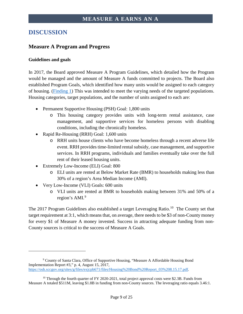# <span id="page-8-0"></span>**DISCUSSION**

#### <span id="page-8-1"></span>**Measure A Program and Progress**

#### **Guidelines and goals**

 $\overline{a}$ 

In 2017, the Board approved Measure A Program Guidelines, which detailed how the Program would be managed and the amount of Measure A funds committed to projects. The Board also established Program Goals, which identified how many units would be assigned to each category of housing. [\(Finding 1\)](#page-19-1) This was intended to meet the varying needs of the targeted populations. Housing categories, target populations, and the number of units assigned to each are:

- Permanent Supportive Housing (PSH) Goal: 1,800 units
	- o This housing category provides units with long-term rental assistance, case management, and supportive services for homeless persons with disabling conditions, including the chronically homeless.
- Rapid Re-Housing (RRH) Goal: 1,600 units
	- o RRH units house clients who have become homeless through a recent adverse life event. RRH provides time-limited rental subsidy, case management, and supportive services. In RRH programs, individuals and families eventually take over the full rent of their leased housing units.
- Extremely Low-Income (ELI) Goal: 800
	- o ELI units are rented at Below Market Rate (BMR) to households making less than 30% of a region's Area Median Income (AMI).
- Very Low-Income (VLI) Goals: 600 units
	- o VLI units are rented at BMR to households making between 31% and 50% of a region's AMI.<sup>[9](#page-8-2)</sup>

The 2017 Program Guidelines also established a target Leveraging Ratio.<sup>[10](#page-8-3)</sup> The County set that target requirement at 3:1, which means that, on average, there needs to be \$3 of non-County money for every \$1 of Measure A money invested. Success in attracting adequate funding from non-County sources is critical to the success of Measure A Goals.

<span id="page-8-2"></span><sup>9</sup> County of Santa Clara, Office of Supportive Housing, "Measure A Affordable Housing Bond Implementation Report #3," p. 4, August 15, 2017, [https://osh.sccgov.org/sites/g/files/exjcpb671/files/Housing%20Bond%20Report\\_03%208.15.17.pdf.](https://osh.sccgov.org/sites/g/files/exjcpb671/files/Housing%20Bond%20Report_03%208.15.17.pdf)

<span id="page-8-3"></span> $10$  Through the fourth quarter of FY 2020-2021, total project approval costs were \$2.3B. Funds from Measure A totaled \$511M, leaving \$1.8B in funding from non-County sources. The leveraging ratio equals 3.46:1.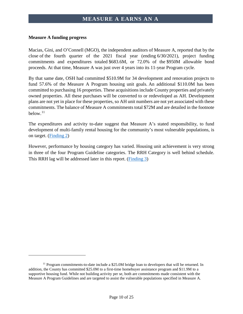#### **Measure A funding progress**

 $\overline{\phantom{a}}$ 

Macias, Gini, and O'Connell (MGO), the independent auditors of Measure A, reported that by the close of the fourth quarter of the 2021 fiscal year (ending 6/30/2021), project funding commitments and expenditures totaled \$683.6M, or 72.0% of the \$950M allowable bond proceeds. At that time, Measure A was just over 4 years into its 11-year Program cycle.

By that same date, OSH had committed \$510.9M for 34 development and renovation projects to fund 57.6% of the Measure A Program housing unit goals. An additional \$110.0M has been committed to purchasing 16 properties. These acquisitions include County properties and privately owned properties. All these purchases will be converted to or redeveloped as AH. Development plans are not yet in place for these properties, so AH unit numbers are not yet associated with these commitments. The balance of Measure A commitments total \$72M and are detailed in the footnote below.[11](#page-9-0)

The expenditures and activity to-date suggest that Measure A's stated responsibility, to fund development of multi-family rental housing for the community's most vulnerable populations, is on target. [\(Finding](#page-19-5) 2)

However, performance by housing category has varied. Housing unit achievement is very strong in three of the four Program Guideline categories. The RRH Category is well behind schedule. This RRH lag will be addressed later in this report. [\(Finding](#page-19-3) 3)

<span id="page-9-0"></span> $11$  Program commitments-to-date include a \$25.0M bridge loan to developers that will be returned. In addition, the County has committed \$25.0M to a first-time homebuyer assistance program and \$11.9M to a supportive housing fund. While not building activity per se, both are commitments made consistent with the Measure A Program Guidelines and are targeted to assist the vulnerable populations specified in Measure A.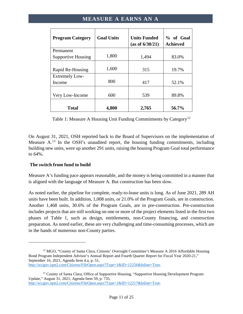| <b>Program Category</b>                             | <b>Goal Units</b> | <b>Units Funded</b><br>(as of 6/30/21) | % of Goal<br><b>Achieved</b> |
|-----------------------------------------------------|-------------------|----------------------------------------|------------------------------|
| Permanent                                           |                   |                                        |                              |
| <b>Supportive Housing</b>                           | 1,800             | 1,494                                  | 83.0%                        |
| Rapid Re-Housing<br><b>Extremely Low-</b><br>Income | 1,600<br>800      | 315<br>417                             | 19.7%<br>52.1%               |
|                                                     |                   |                                        |                              |
| Very Low-Income                                     | 600               | 539                                    | 89.8%                        |
| <b>Total</b>                                        | 4,800             | 2,765                                  | 56.7%                        |

Table 1: Measure A Housing Unit Funding Commitments by Category<sup>[12](#page-10-0)</sup>

<span id="page-10-2"></span>On August 31, 2021, OSH reported back to the Board of Supervisors on the implementation of Measure  $A<sup>13</sup>$  $A<sup>13</sup>$  $A<sup>13</sup>$  In the OSH's unaudited report, the housing funding commitments, including building new units, were up another 291 units, raising the housing Program Goal total performance to 64%.

#### **The switch from fund to build**

 $\overline{\phantom{a}}$ 

Measure A's funding pace appears reasonable, and the money is being committed in a manner that is aligned with the language of Measure A. But construction has been slow.

As noted earlier, the pipeline for complete, ready-to-lease units is long. As of June 2021, 289 AH units have been built. In addition, 1,008 units, or 21.0% of the Program Goals, are in construction. Another 1,468 units, 30.6% of the Program Goals, are in pre-construction. Pre-construction includes projects that are still working on one or more of the project elements listed in the first two phases of Table 1, such as design, entitlements, non-County financing, and construction preparation. As noted earlier, these are very challenging and time-consuming processes, which are in the hands of numerous non-County parties.

<span id="page-10-0"></span> $12$  MGO, "County of Santa Clara, Citizens' Oversight Committee's Measure A 2016 Affordable Housing Bond Program Independent Advisor's Annual Report and Fourth Quarter Report for Fiscal Year 2020-21," September 16, 2021, Agenda Item 4.a, p. 51, [http://sccgov.iqm2.com/Citizens/FileOpen.aspx?Type=1&ID=12256&Inline=True.](http://sccgov.iqm2.com/Citizens/FileOpen.aspx?Type=1&ID=12256&Inline=True)

<span id="page-10-1"></span><sup>&</sup>lt;sup>13</sup> County of Santa Clara, Office of Supportive Housing, "Supportive Housing Development Program Update," August 31, 2021, Agenda Item 59, p. 735, [http://sccgov.iqm2.com/Citizens/FileOpen.aspx?Type=1&ID=12217&Inline=True.](http://sccgov.iqm2.com/Citizens/FileOpen.aspx?Type=1&ID=12217&Inline=True)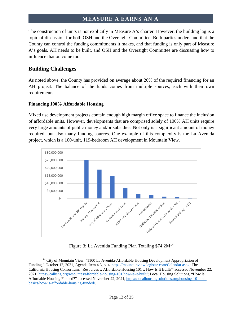The construction of units is not explicitly in Measure A's charter. However, the building lag is a topic of discussion for both OSH and the Oversight Committee. Both parties understand that the County can control the funding commitments it makes, and that funding is only part of Measure A's goals. AH needs to be built, and OSH and the Oversight Committee are discussing how to influence that outcome too.

#### <span id="page-11-0"></span>**Building Challenges**

 $\overline{\phantom{a}}$ 

As noted above, the County has provided on average about 20% of the required financing for an AH project. The balance of the funds comes from multiple sources, each with their own requirements.

#### **Financing 100% Affordable Housing**

Mixed use development projects contain enough high margin office space to finance the inclusion of affordable units. However, developments that are comprised solely of 100% AH units require very large amounts of public money and/or subsidies. Not only is a significant amount of money required, but also many funding sources. One example of this complexity is the La Avenida project, which is a 100-unit, 119-bedroom AH development in Mountain View.



Figure 3: La Avenida Funding Plan Totaling \$74.2M[14](#page-11-1)

<span id="page-11-1"></span><sup>&</sup>lt;sup>14</sup> City of Mountain View, "1100 La Avenida-Affordable Housing Development Appropriation of Funding," October 12, 2021, Agenda Item 4.3, p. 4, [https://mountainview.legistar.com/Calendar.aspx;](https://mountainview.legistar.com/Calendar.aspx) The California Housing Consortium, "Resources :: Affordable Housing 101 :: How Is It Built?" accessed November 22, 2021, [https://calhsng.org/resources/affordable-housing-101/how-is-it-built/;](https://calhsng.org/resources/affordable-housing-101/how-is-it-built/) Local Housing Solutions, "How Is Affordable Housing Funded?" accessed November 22, 2021, [https://localhousingsolutions.org/housing-101-the](https://localhousingsolutions.org/housing-101-the-basics/how-is-affordable-housing-funded/)[basics/how-is-affordable-housing-funded/.](https://localhousingsolutions.org/housing-101-the-basics/how-is-affordable-housing-funded/)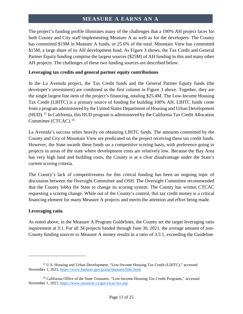The project's funding profile illustrates many of the challenges that a 100% AH project faces for both County and City staff implementing Measure A as well as for the developers. The County has committed \$19M in Measure A funds, or 25.6% of the total. Mountain View has committed \$15M, a large share of its AH development fund. As Figure 3 shows, the Tax Credit and General Partner Equity funding comprise the largest sources (\$25M) of AH funding in this and many other AH projects. The challenges of these two funding sources are described below.

#### **Leveraging tax credits and general partner equity contributions**

In the La Avenida project, the Tax Credit funds and the General Partner Equity funds (the developer's investment) are combined as the first column in Figure 3 above. Together, they are the single largest line item of the project's financing, totaling \$25.4M. The Low-Income Housing Tax Credit (LIHTC) is a primary source of funding for building 100% AH. LIHTC funds come from a program administered by the United States Department of Housing and Urban Development (HUD). [15](#page-12-0) In California, this HUD program is administered by the California Tax Credit Allocation Committee (CTCAC). [16](#page-12-1)

La Avenida's success relies heavily on obtaining LIHTC funds. The amounts committed by the County and City of Mountain View are predicated on the project receiving these tax credit funds. However, the State awards these funds on a competitive scoring basis, with preference going to projects in areas of the state where development costs are relatively low. Because the Bay Area has very high land and building costs, the County is at a clear disadvantage under the State's current scoring criteria.

The County's lack of competitiveness for this critical funding has been an ongoing topic of discussion between the Oversight Committee and OSH. The Oversight Committee recommended that the County lobby the State to change its scoring system. The County has written CTCAC requesting a scoring change. While out of the County's control, this tax credit money is a critical financing element for many Measure A projects and merits the attention and effort being made.

#### **Leveraging ratio**

 $\overline{\phantom{a}}$ 

As noted above, in the Measure A Program Guidelines, the County set the target leveraging ratio requirement at 3:1. For all 34 projects funded through June 30, 2021, the average amount of non-County funding sources to Measure A money results in a ratio of 3.5:1, exceeding the Guideline.

<span id="page-12-0"></span><sup>&</sup>lt;sup>15</sup> U.S. Housing and Urban Development, "Low-Income Housing Tax Credit (LIHTC)," accessed November 1, 2021[, https://www.huduser.gov/portal/datasets/lihtc.html.](https://www.huduser.gov/portal/datasets/lihtc.html)

<span id="page-12-1"></span><sup>&</sup>lt;sup>16</sup> California Office of the State Treasurer, "Low-Income Housing Tax Credit Programs," accessed November 1, 2021[, https://www.treasurer.ca.gov/ctcac/tax.asp.](https://www.treasurer.ca.gov/ctcac/tax.asp)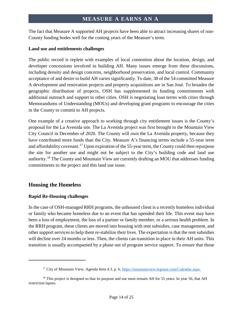The fact that Measure A supported AH projects have been able to attract increasing shares of non-County funding bodes well for the coming years of the Measure's term.

#### **Land use and entitlements challenges**

The public record is replete with examples of local contention about the location, design, and developer concessions involved in building AH. Many issues emerge from these discussions, including density and design concerns, neighborhood preservation, and local control. Community acceptance of and desire to build AH varies significantly. To date, 38 of the 54 committed Measure A development and renovation projects and property acquisitions are in San José. To broaden the geographic distribution of projects, OSH has supplemented its funding commitments with additional outreach and support to other cities. OSH is negotiating loan terms with cities through Memorandums of Understanding (MOUs) and developing grant programs to encourage the cities in the County to commit to AH projects.

One example of a creative approach to working through city entitlement issues is the County's proposal for the La Avenida site. The La Avenida project was first brought to the Mountain View City Council in December of 2020. The County will own the La Avenida property, because they have contributed more funds than the City. Measure A's financing terms include a 55-year term and affordability covenant.<sup>[17](#page-13-1)</sup> Upon expiration of the 55-year term, the County could then repurpose the site for another use and might not be subject to the City's building code and land use authority.<sup>[18](#page-13-2)</sup> The County and Mountain View are currently drafting an MOU that addresses funding commitments to the project and this land use issue.

#### <span id="page-13-0"></span>**Housing the Homeless**

l

#### **Rapid Re-Housing challenges**

In the case of OSH-managed RRH programs, the unhoused client is a recently homeless individual or family who became homeless due to an event that has upended their life. This event may have been a loss of employment, the loss of a partner or family member, or a serious health problem. In the RRH program, these clients are moved into housing with rent subsidies, case management, and other support services to help them re-stabilize their lives. The expectation is that the rent subsidies will decline over 24 months or less. Then, the clients can transition in place in their AH units. This transition is usually accompanied by a phase out of program service support. To ensure that those

<sup>&</sup>lt;sup>17</sup> City of Mountain View, Agenda Item 4.3, p. 6[, https://mountainview.legistar.com/Calendar.aspx.](https://mountainview.legistar.com/Calendar.aspx)

<span id="page-13-2"></span><span id="page-13-1"></span> $<sup>18</sup>$  This project is designed so that its purpose and use must remain AH for 55 years. In year 56, that AH</sup> restriction lapses.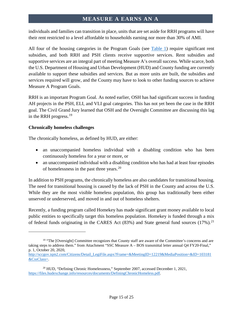individuals and families can transition in place, units that are set aside for RRH programs will have their rent restricted to a level affordable to households earning nor more than 30% of AMI.

All four of the housing categories in the Program Goals (see [Table 1\)](#page-10-2) require significant rent subsidies, and both RRH and PSH clients receive supportive services. Rent subsidies and supportive services are an integral part of meeting Measure A's overall success. While scarce, both the U.S. Department of Housing and Urban Development (HUD) and County funding are currently available to support these subsidies and services. But as more units are built, the subsidies and services required will grow, and the County may have to look to other funding sources to achieve Measure A Program Goals.

RRH is an important Program Goal. As noted earlier, OSH has had significant success in funding AH projects in the PSH, ELI, and VLI goal categories. This has not yet been the case in the RRH goal. The Civil Grand Jury learned that OSH and the Oversight Committee are discussing this lag in the RRH progress.[19](#page-14-0)

#### **Chronically homeless challenges**

l

The chronically homeless, as defined by HUD, are either:

- an unaccompanied homeless individual with a disabling condition who has been continuously homeless for a year or more, or
- an unaccompanied individual with a disabling condition who has had at least four episodes of homelessness in the past three years.[20](#page-14-1)

In addition to PSH programs, the chronically homeless are also candidates for transitional housing. The need for transitional housing is caused by the lack of PSH in the County and across the U.S. While they are the most visible homeless population, this group has traditionally been either unserved or underserved, and moved in and out of homeless shelters.

Recently, a funding program called Homekey has made significant grant money available to local public entities to specifically target this homeless population. Homekey is funded through a mix of federal funds originating in the CARES Act  $(83%)$  and State general fund sources  $(17%)$ .<sup>[21](#page-14-2)</sup>

<span id="page-14-0"></span><sup>&</sup>lt;sup>19</sup> "The [Oversight] Committee recognizes that County staff are aware of the Committee's concerns and are taking steps to address them." from Attachment "SSC Measure A – BOS transmittal letter annual Q4 FY20-Final," p. 1, October 20, 2020,

<span id="page-14-2"></span>[http://sccgov.iqm2.com/Citizens/Detail\\_LegiFile.aspx?Frame=&MeetingID=12219&MediaPosition=&ID=103181](http://sccgov.iqm2.com/Citizens/Detail_LegiFile.aspx?Frame=&MeetingID=12219&MediaPosition=&ID=103181&CssClass=) [&CssClass=](http://sccgov.iqm2.com/Citizens/Detail_LegiFile.aspx?Frame=&MeetingID=12219&MediaPosition=&ID=103181&CssClass=).

<span id="page-14-1"></span><sup>20</sup> HUD, "Defining Chronic Homelessness," September 2007, accessed December 1, 2021, [https://files.hudexchange.info/resources/documents/DefiningChronicHomeless.pdf.](https://files.hudexchange.info/resources/documents/DefiningChronicHomeless.pdf)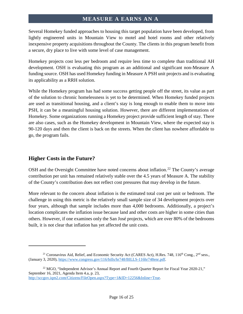Several Homekey funded approaches to housing this target population have been developed, from lightly engineered units in Mountain View to motel and hotel rooms and other relatively inexpensive property acquisitions throughout the County. The clients in this program benefit from a secure, dry place to live with some level of case management.

Homekey projects cost less per bedroom and require less time to complete than traditional AH development. OSH is evaluating this program as an additional and significant non-Measure A funding source. OSH has used Homekey funding in Measure A PSH unit projects and is evaluating its applicability as a RRH solution.

While the Homekey program has had some success getting people off the street, its value as part of the solution to chronic homelessness is yet to be determined. When Homekey funded projects are used as transitional housing, and a client's stay is long enough to enable them to move into PSH, it can be a meaningful housing solution. However, there are different implementations of Homekey. Some organizations running a Homekey project provide sufficient length of stay. There are also cases, such as the Homekey development in Mountain View, where the expected stay is 90-120 days and then the client is back on the streets. When the client has nowhere affordable to go, the program fails.

#### <span id="page-15-0"></span>**Higher Costs in the Future?**

l

OSH and the Oversight Committee have noted concerns about inflation.<sup>[22](#page-15-1)</sup> The County's average contribution per unit has remained relatively stable over the 4.5 years of Measure A. The stability of the County's contribution does not reflect cost pressures that may develop in the future.

More relevant to the concern about inflation is the estimated total cost per unit or bedroom. The challenge in using this metric is the relatively small sample size of 34 development projects over four years, although that sample includes more than 4,000 bedrooms. Additionally, a project's location complicates the inflation issue because land and other costs are higher in some cities than others. However, if one examines only the San José projects, which are over 80% of the bedrooms built, it is not clear that inflation has yet affected the unit costs.

<sup>&</sup>lt;sup>21</sup> Coronavirus Aid, Relief, and Economic Security Act (CARES Act), H.Res. 748, 116<sup>th</sup> Cong., 2<sup>nd</sup> sess., (January 3, 2020), [https://www.congress.gov/116/bills/hr748/BILLS-116hr748enr.pdf.](https://www.congress.gov/116/bills/hr748/BILLS-116hr748enr.pdf) 

<span id="page-15-1"></span><sup>&</sup>lt;sup>22</sup> MGO, "Independent Advisor's Annual Report and Fourth Quarter Report for Fiscal Year 2020-21," September 16, 2021, Agenda Item 4.a, p. 23, [http://sccgov.iqm2.com/Citizens/FileOpen.aspx?Type=1&ID=12256&Inline=True.](http://sccgov.iqm2.com/Citizens/FileOpen.aspx?Type=1&ID=12256&Inline=True)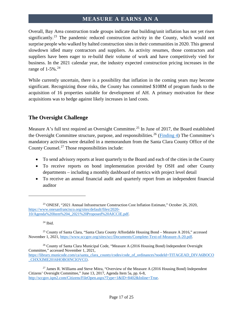Overall, Bay Area construction trade groups indicate that building/unit inflation has not yet risen significantly.<sup>[23](#page-16-1)</sup> The pandemic reduced construction activity in the County, which would not surprise people who walked by halted construction sites in their communities in 2020. This general slowdown idled many contractors and suppliers. As activity resumes, those contractors and suppliers have been eager to re-build their volume of work and have competitively vied for business. In the 2021 calendar year, the industry expected construction pricing increases in the range of 1-5%. [24](#page-16-2)

While currently uncertain, there is a possibility that inflation in the coming years may become significant. Recognizing those risks, the County has committed \$108M of program funds to the acquisition of 16 properties suitable for development of AH. A primary motivation for these acquisitions was to hedge against likely increases in land costs.

#### <span id="page-16-0"></span>**The Oversight Challenge**

Measure A's full text required an Oversight Committee.<sup>[25](#page-16-3)</sup> In June of 2017, the Board established the Oversight Committee structure, purpose, and responsibilities.<sup>[26](#page-16-4)</sup> [\(Finding 4\)](#page-19-4) The Committee's mandatory activities were detailed in a memorandum from the Santa Clara County Office of the County Counsel. [27](#page-16-5) Those responsibilities include:

- To send advisory reports at least quarterly to the Board and each of the cities in the County
- To receive reports on bond implementation provided by OSH and other County departments – including a monthly dashboard of metrics with project level detail
- To receive an annual financial audit and quarterly report from an independent financial auditor

<sup>24</sup> Ibid.

 $\overline{\phantom{a}}$ 

<span id="page-16-1"></span><sup>23</sup> ONESF, "2021 Annual Infrastructure Construction Cost Inflation Estimate," October 26, 2020, [https://www.onesanfrancisco.org/sites/default/files/2020-](https://www.onesanfrancisco.org/sites/default/files/2020-10/Agenda%20Item%204_2021%20Proposed%20AICCIE.pdf) [10/Agenda%20Item%204\\_2021%20Proposed%20AICCIE.pdf.](https://www.onesanfrancisco.org/sites/default/files/2020-10/Agenda%20Item%204_2021%20Proposed%20AICCIE.pdf)

<span id="page-16-3"></span><span id="page-16-2"></span><sup>25</sup> County of Santa Clara, "Santa Clara County Affordable Housing Bond – Measure A 2016," accessed November 1, 2021, [https://www.sccgov.org/sites/scc/Documents/Complete-Text-of-Measure-A-20.pdf.](https://www.sccgov.org/sites/scc/Documents/Complete-Text-of-Measure-A-20.pdf)

<span id="page-16-4"></span><sup>26</sup> County of Santa Clara Municipal Code, "Measure A (2016 Housing Bond) Independent Oversight Committee," accessed November 1, 2021,

[https://library.municode.com/ca/santa\\_clara\\_county/codes/code\\_of\\_ordinances?nodeId=TITAGEAD\\_DIVA6BOCO](https://library.municode.com/ca/santa_clara_county/codes/code_of_ordinances?nodeId=TITAGEAD_DIVA6BOCO_CHXXIME2016HOBOINCIOVCO) [\\_CHXXIME2016HOBOINCIOVCO.](https://library.municode.com/ca/santa_clara_county/codes/code_of_ordinances?nodeId=TITAGEAD_DIVA6BOCO_CHXXIME2016HOBOINCIOVCO)

<span id="page-16-5"></span><sup>27</sup> James R. Williams and Steve Mitra, "Overview of the Measure A (2016 Housing Bond) Independent Citizens' Oversight Committee," June 13, 2017, Agenda Item 5a, pp. 6-8, [http://sccgov.iqm2.com/Citizens/FileOpen.aspx?Type=1&ID=8402&Inline=True.](http://sccgov.iqm2.com/Citizens/FileOpen.aspx?Type=1&ID=8402&Inline=True)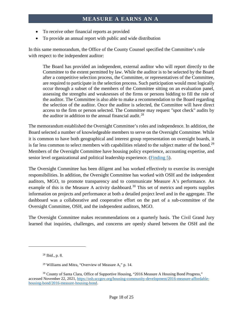- To receive other financial reports as provided
- To provide an annual report with public and wide distribution

In this same memorandum, the Office of the County Counsel specified the Committee's role with respect to the independent auditor:

The Board has provided an independent, external auditor who will report directly to the Committee to the extent permitted by law. While the auditor is to be selected by the Board after a competitive selection process, the Committee, or representatives of the Committee, are required to participate in the selection process. Such participation would most logically occur through a subset of the members of the Committee sitting on an evaluation panel, assessing the strengths and weaknesses of the firms or persons bidding to fill the role of the auditor. The Committee is also able to make a recommendation to the Board regarding the selection of the auditor. Once the auditor is selected, the Committee will have direct access to the firm or person selected. The Committee may request "spot check" audits by the auditor in addition to the annual financial audit.<sup>[28](#page-17-0)</sup>

The memorandum established the Oversight Committee's roles and independence. In addition, the Board selected a number of knowledgeable members to serve on the Oversight Committee. While it is common to have both geographical and interest group representation on oversight boards, it is far less common to select members with capabilities related to the subject matter of the bond.<sup>[29](#page-17-1)</sup> Members of the Oversight Committee have housing policy experience, accounting expertise, and senior level organizational and political leadership experience. [\(Finding](#page-20-1) 5).

The Oversight Committee has been diligent and has worked effectively to exercise its oversight responsibilities. In addition, the Oversight Committee has worked with OSH and the independent auditors, MGO, to promote transparency and to communicate Measure A's performance. An example of this is the Measure A activity dashboard.<sup>[30](#page-17-2)</sup> This set of metrics and reports supplies information on projects and performance at both a detailed project level and in the aggregate. The dashboard was a collaborative and cooperative effort on the part of a sub-committee of the Oversight Committee, OSH, and the independent auditors, MGO.

The Oversight Committee makes recommendations on a quarterly basis. The Civil Grand Jury learned that inquiries, challenges, and concerns are openly shared between the OSH and the

<span id="page-17-0"></span> $\overline{\phantom{a}}$ 

<sup>28</sup> Ibid., p. 8.

<sup>29</sup> Williams and Mitra*,* "Overview of Measure A," p. 14.

<span id="page-17-2"></span><span id="page-17-1"></span><sup>&</sup>lt;sup>30</sup> County of Santa Clara, Office of Supportive Housing, "2016 Measure A Housing Bond Progress," accessed November 22, 2021, [https://osh.sccgov.org/housing-community-development/2016-measure-affordable](https://osh.sccgov.org/housing-community-development/2016-measure-affordable-housing-bond/2016-measure-housing-bond)[housing-bond/2016-measure-housing-bond.](https://osh.sccgov.org/housing-community-development/2016-measure-affordable-housing-bond/2016-measure-housing-bond)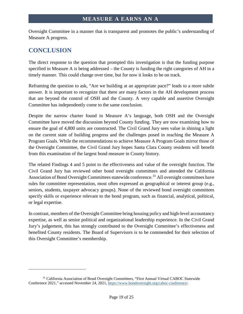Oversight Committee in a manner that is transparent and promotes the public's understanding of Measure A progress.

# <span id="page-18-0"></span>**CONCLUSION**

 $\overline{a}$ 

The direct response to the question that prompted this investigation is that the funding purpose specified in Measure A is being addressed – the County is funding the right categories of AH in a timely manner. This could change over time, but for now it looks to be on track.

Reframing the question to ask, "Are we building at an appropriate pace?" leads to a more subtle answer. It is important to recognize that there are many factors in the AH development process that are beyond the control of OSH and the County. A very capable and assertive Oversight Committee has independently come to the same conclusion.

Despite the narrow charter found in Measure A's language, both OSH and the Oversight Committee have moved the discussion beyond County funding. They are now examining how to ensure the goal of 4,800 units are constructed. The Civil Grand Jury sees value in shining a light on the current state of building progress and the challenges posed in reaching the Measure A Program Goals. While the recommendations to achieve Measure A Program Goals mirror those of the Oversight Committee, the Civil Grand Jury hopes Santa Clara County residents will benefit from this examination of the largest bond measure in County history.

The related Findings 4 and 5 point to the effectiveness and value of the oversight function. The Civil Grand Jury has reviewed other bond oversight committees and attended the California Association of Bond Oversight Committees statewide conference.<sup>[31](#page-18-1)</sup> All oversight committees have rules for committee representation, most often expressed as geographical or interest group (e.g., seniors, students, taxpayer advocacy groups). None of the reviewed bond oversight committees specify skills or experience relevant to the bond program, such as financial, analytical, political, or legal expertise.

In contrast, members of the Oversight Committee bring housing policy and high-level accountancy expertise, as well as senior political and organizational leadership experience. In the Civil Grand Jury's judgement, this has strongly contributed to the Oversight Committee's effectiveness and benefited County residents. The Board of Supervisors is to be commended for their selection of this Oversight Committee's membership.

<span id="page-18-1"></span><sup>&</sup>lt;sup>31</sup> California Association of Bond Oversight Committees, "First Annual Virtual CABOC Statewide Conference 2021," accessed November 24, 2021, [https://www.bondoversight.org/caboc-conference/.](https://www.bondoversight.org/caboc-conference/)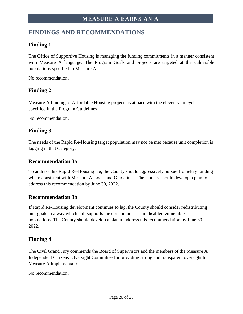# <span id="page-19-0"></span>**FINDINGS AND RECOMMENDATIONS**

#### <span id="page-19-1"></span>**Finding 1**

The Office of Supportive Housing is managing the funding commitments in a manner consistent with Measure A language. The Program Goals and projects are targeted at the vulnerable populations specified in Measure A.

<span id="page-19-5"></span>No recommendation.

#### <span id="page-19-2"></span>**Finding 2**

Measure A funding of Affordable Housing projects is at pace with the eleven-year cycle specified in the Program Guidelines

No recommendation.

#### <span id="page-19-3"></span>**Finding 3**

The needs of the Rapid Re-Housing target population may not be met because unit completion is lagging in that Category.

#### **Recommendation 3a**

To address this Rapid Re-Housing lag, the County should aggressively pursue Homekey funding where consistent with Measure A Goals and Guidelines. The County should develop a plan to address this recommendation by June 30, 2022.

#### **Recommendation 3b**

If Rapid Re-Housing development continues to lag, the County should consider redistributing unit goals in a way which still supports the core homeless and disabled vulnerable populations. The County should develop a plan to address this recommendation by June 30, 2022.

#### <span id="page-19-4"></span>**Finding 4**

The Civil Grand Jury commends the Board of Supervisors and the members of the Measure A Independent Citizens' Oversight Committee for providing strong and transparent oversight to Measure A implementation.

No recommendation.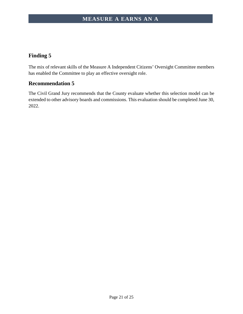# <span id="page-20-1"></span><span id="page-20-0"></span>**Finding 5**

The mix of relevant skills of the Measure A Independent Citizens' Oversight Committee members has enabled the Committee to play an effective oversight role.

### **Recommendation 5**

The Civil Grand Jury recommends that the County evaluate whether this selection model can be extended to other advisory boards and commissions. This evaluation should be completed June 30, 2022.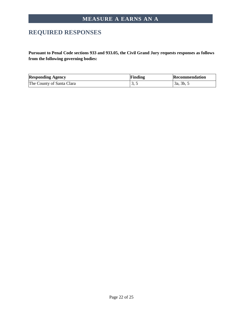# <span id="page-21-0"></span>**REQUIRED RESPONSES**

**Pursuant to Penal Code sections 933 and 933.05, the Civil Grand Jury requests responses as follows from the following governing bodies:**

| <b>Responding Agency</b>  | Finding | Recommendation   |
|---------------------------|---------|------------------|
| The County of Santa Clara |         | $3a, 3b, \ldots$ |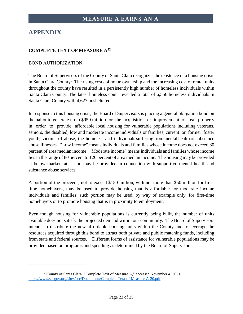# <span id="page-22-0"></span>**APPENDIX**

l

#### **COMPLETE TEXT OF MEASURE A[32](#page-22-1)**

#### BOND AUTHORIZATION

The Board of Supervisors of the County of Santa Clara recognizes the existence of a housing crisis in Santa Clara County: The rising costs of home ownership and the increasing cost of rental units throughout the county have resulted in a persistently high number of homeless individuals within Santa Clara County. The latest homeless count revealed a total of 6,556 homeless individuals in Santa Clara County with 4,627 unsheltered.

In response to this housing crisis, the Board of Supervisors is placing a general obligation bond on the ballot to generate up to \$950 million for the acquisition or improvement of real property in order to provide affordable local housing for vulnerable populations including veterans, seniors, the disabled, low and moderate income individuals or families, current or former foster youth, victims of abuse, the homeless and individuals suffering from mental health or substance abuse illnesses. "Low income" means individuals and families whose income does not exceed 80 percent of area median income. "Moderate income" means individuals and families whose income lies in the range of 80 percent to 120 percent of area median income. The housing may be provided at below market rates, and may be provided in connection with supportive mental health and substance abuse services.

A portion of the proceeds, not to exceed \$150 million, with not more than \$50 million for firsttime homebuyers, may be used to provide housing that is affordable for moderate income individuals and families; such portion may be used, by way of example only, for first-time homebuyers or to promote housing that is in proximity to employment.

Even though housing for vulnerable populations is currently being built, the number of units available does not satisfy the projected demand within our community. The Board of Supervisors intends to distribute the new affordable housing units within the County and to leverage the resources acquired through this bond to attract both private and public matching funds, including from state and federal sources. Different forms of assistance for vulnerable populations may be provided based on programs and spending as determined by the Board of Supervisors.

<span id="page-22-1"></span><sup>&</sup>lt;sup>32</sup> County of Santa Clara, "Complete Text of Measure A," accessed November 4, 2021, [https://www.sccgov.org/sites/scc/Documents/Complete-Text-of-Measure-A-20.pdf.](https://www.sccgov.org/sites/scc/Documents/Complete-Text-of-Measure-A-20.pdf)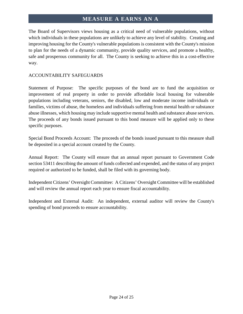The Board of Supervisors views housing as a critical need of vulnerable populations, without which individuals in these populations are unlikely to achieve any level of stability. Creating and improving housing for the County's vulnerable populations is consistent with the County's mission to plan for the needs of a dynamic community, provide quality services, and promote a healthy, safe and prosperous community for all. The County is seeking to achieve this in a cost-effective way.

#### ACCOUNTABILITY SAFEGUARDS

Statement of Purpose: The specific purposes of the bond are to fund the acquisition or improvement of real property in order to provide affordable local housing for vulnerable populations including veterans, seniors, the disabled, low and moderate income individuals or families, victims of abuse, the homeless and individuals suffering from mental health or substance abuse illnesses, which housing may include supportive mental health and substance abuse services. The proceeds of any bonds issued pursuant to this bond measure will be applied only to these specific purposes.

Special Bond Proceeds Account: The proceeds of the bonds issued pursuant to this measure shall be deposited in a special account created by the County.

Annual Report: The County will ensure that an annual report pursuant to Government Code section 53411 describing the amount of funds collected and expended, and the status of any project required or authorized to be funded, shall be filed with its governing body.

Independent Citizens' Oversight Committee: A Citizens' Oversight Committee will be established and will review the annual report each year to ensure fiscal accountability.

Independent and External Audit: An independent, external auditor will review the County's spending of bond proceeds to ensure accountability.